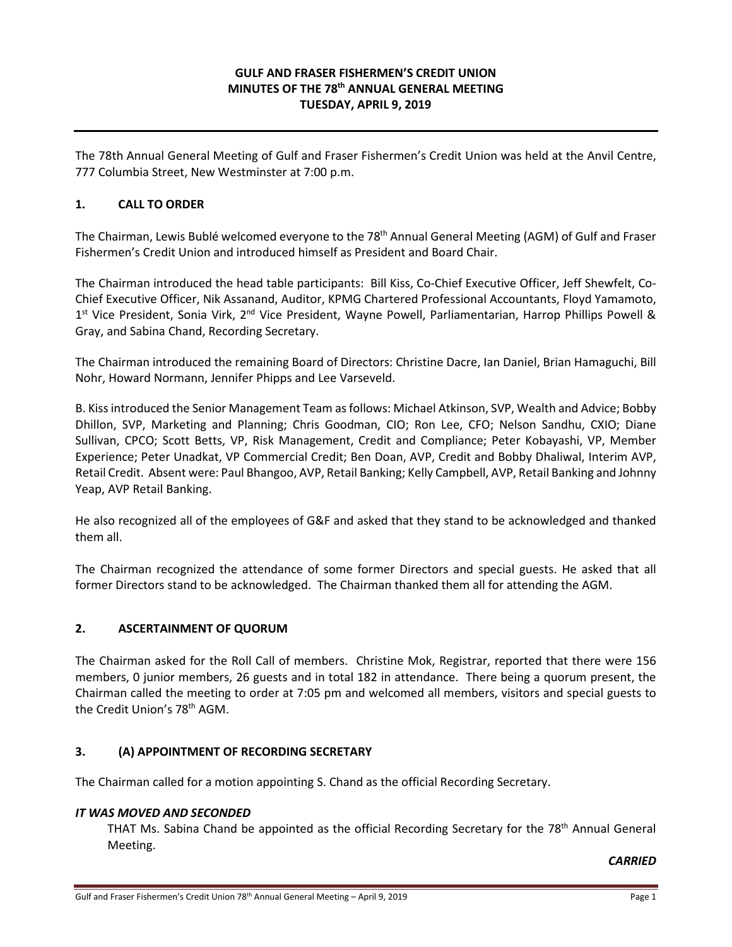## **GULF AND FRASER FISHERMEN'S CREDIT UNION MINUTES OF THE 78th ANNUAL GENERAL MEETING TUESDAY, APRIL 9, 2019**

The 78th Annual General Meeting of Gulf and Fraser Fishermen's Credit Union was held at the Anvil Centre, 777 Columbia Street, New Westminster at 7:00 p.m.

## **1. CALL TO ORDER**

The Chairman, Lewis Bublé welcomed everyone to the 78<sup>th</sup> Annual General Meeting (AGM) of Gulf and Fraser Fishermen's Credit Union and introduced himself as President and Board Chair.

The Chairman introduced the head table participants: Bill Kiss, Co-Chief Executive Officer, Jeff Shewfelt, Co-Chief Executive Officer, Nik Assanand, Auditor, KPMG Chartered Professional Accountants, Floyd Yamamoto, 1st Vice President, Sonia Virk, 2<sup>nd</sup> Vice President, Wayne Powell, Parliamentarian, Harrop Phillips Powell & Gray, and Sabina Chand, Recording Secretary.

The Chairman introduced the remaining Board of Directors: Christine Dacre, Ian Daniel, Brian Hamaguchi, Bill Nohr, Howard Normann, Jennifer Phipps and Lee Varseveld.

B. Kiss introduced the Senior Management Team as follows: Michael Atkinson, SVP, Wealth and Advice; Bobby Dhillon, SVP, Marketing and Planning; Chris Goodman, CIO; Ron Lee, CFO; Nelson Sandhu, CXIO; Diane Sullivan, CPCO; Scott Betts, VP, Risk Management, Credit and Compliance; Peter Kobayashi, VP, Member Experience; Peter Unadkat, VP Commercial Credit; Ben Doan, AVP, Credit and Bobby Dhaliwal, Interim AVP, Retail Credit. Absent were: Paul Bhangoo, AVP, Retail Banking; Kelly Campbell, AVP, Retail Banking and Johnny Yeap, AVP Retail Banking.

He also recognized all of the employees of G&F and asked that they stand to be acknowledged and thanked them all.

The Chairman recognized the attendance of some former Directors and special guests. He asked that all former Directors stand to be acknowledged. The Chairman thanked them all for attending the AGM.

### **2. ASCERTAINMENT OF QUORUM**

The Chairman asked for the Roll Call of members. Christine Mok, Registrar, reported that there were 156 members, 0 junior members, 26 guests and in total 182 in attendance. There being a quorum present, the Chairman called the meeting to order at 7:05 pm and welcomed all members, visitors and special guests to the Credit Union's 78<sup>th</sup> AGM.

### **3. (A) APPOINTMENT OF RECORDING SECRETARY**

The Chairman called for a motion appointing S. Chand as the official Recording Secretary.

#### *IT WAS MOVED AND SECONDED*

THAT Ms. Sabina Chand be appointed as the official Recording Secretary for the 78<sup>th</sup> Annual General Meeting.

*CARRIED*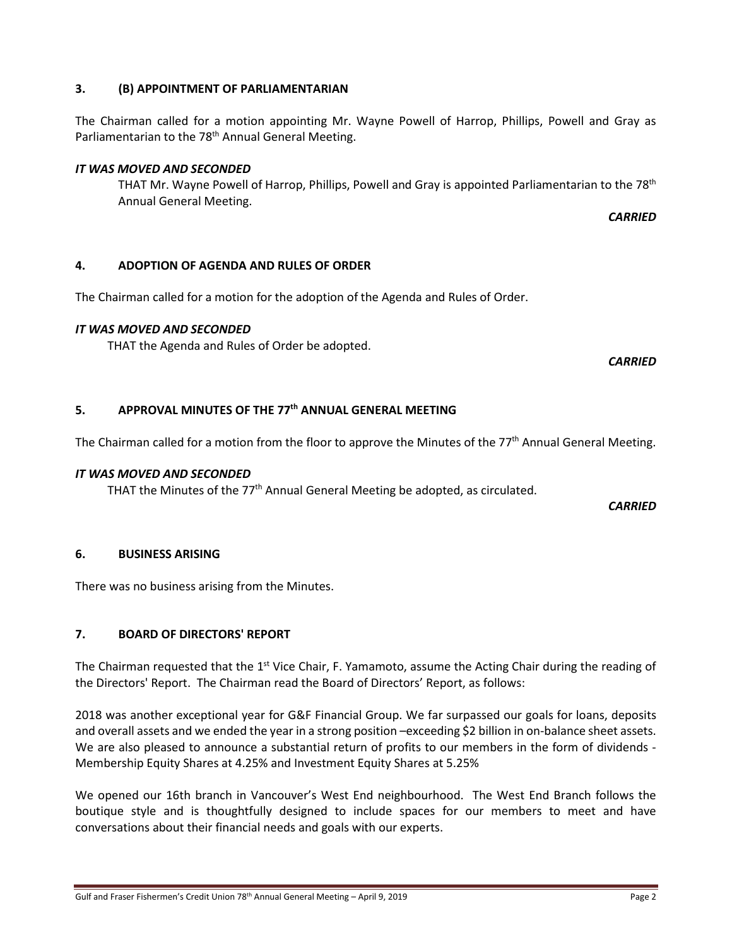# **3. (B) APPOINTMENT OF PARLIAMENTARIAN**

The Chairman called for a motion appointing Mr. Wayne Powell of Harrop, Phillips, Powell and Gray as Parliamentarian to the 78<sup>th</sup> Annual General Meeting.

# *IT WAS MOVED AND SECONDED*

THAT Mr. Wayne Powell of Harrop, Phillips, Powell and Gray is appointed Parliamentarian to the 78th Annual General Meeting.

*CARRIED*

# **4. ADOPTION OF AGENDA AND RULES OF ORDER**

The Chairman called for a motion for the adoption of the Agenda and Rules of Order.

# *IT WAS MOVED AND SECONDED*

THAT the Agenda and Rules of Order be adopted.

*CARRIED*

# **5. APPROVAL MINUTES OF THE 77th ANNUAL GENERAL MEETING**

The Chairman called for a motion from the floor to approve the Minutes of the 77<sup>th</sup> Annual General Meeting.

## *IT WAS MOVED AND SECONDED*

THAT the Minutes of the  $77<sup>th</sup>$  Annual General Meeting be adopted, as circulated.

*CARRIED*

# **6. BUSINESS ARISING**

There was no business arising from the Minutes.

# **7. BOARD OF DIRECTORS' REPORT**

The Chairman requested that the 1<sup>st</sup> Vice Chair, F. Yamamoto, assume the Acting Chair during the reading of the Directors' Report. The Chairman read the Board of Directors' Report, as follows:

2018 was another exceptional year for G&F Financial Group. We far surpassed our goals for loans, deposits and overall assets and we ended the year in a strong position –exceeding \$2 billion in on-balance sheet assets. We are also pleased to announce a substantial return of profits to our members in the form of dividends - Membership Equity Shares at 4.25% and Investment Equity Shares at 5.25%

We opened our 16th branch in Vancouver's West End neighbourhood. The West End Branch follows the boutique style and is thoughtfully designed to include spaces for our members to meet and have conversations about their financial needs and goals with our experts.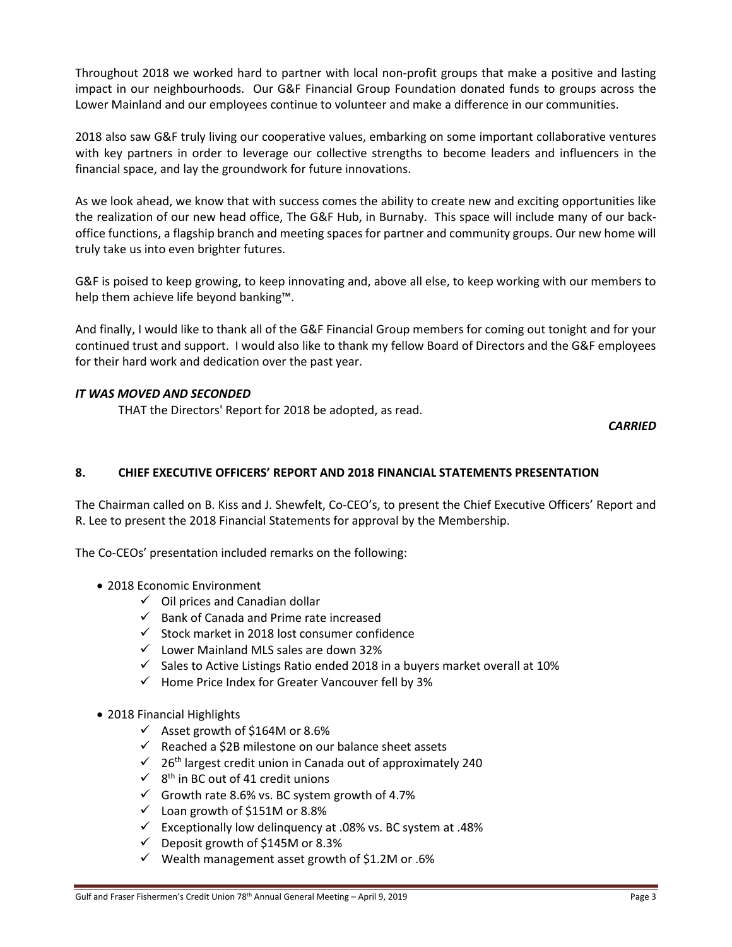Throughout 2018 we worked hard to partner with local non-profit groups that make a positive and lasting impact in our neighbourhoods. Our G&F Financial Group Foundation donated funds to groups across the Lower Mainland and our employees continue to volunteer and make a difference in our communities.

2018 also saw G&F truly living our cooperative values, embarking on some important collaborative ventures with key partners in order to leverage our collective strengths to become leaders and influencers in the financial space, and lay the groundwork for future innovations.

As we look ahead, we know that with success comes the ability to create new and exciting opportunities like the realization of our new head office, The G&F Hub, in Burnaby. This space will include many of our backoffice functions, a flagship branch and meeting spaces for partner and community groups. Our new home will truly take us into even brighter futures.

G&F is poised to keep growing, to keep innovating and, above all else, to keep working with our members to help them achieve life beyond banking™.

And finally, I would like to thank all of the G&F Financial Group members for coming out tonight and for your continued trust and support. I would also like to thank my fellow Board of Directors and the G&F employees for their hard work and dedication over the past year.

### *IT WAS MOVED AND SECONDED*

THAT the Directors' Report for 2018 be adopted, as read.

*CARRIED*

## **8. CHIEF EXECUTIVE OFFICERS' REPORT AND 2018 FINANCIAL STATEMENTS PRESENTATION**

The Chairman called on B. Kiss and J. Shewfelt, Co-CEO's, to present the Chief Executive Officers' Report and R. Lee to present the 2018 Financial Statements for approval by the Membership.

The Co-CEOs' presentation included remarks on the following:

- 2018 Economic Environment
	- $\checkmark$  Oil prices and Canadian dollar
	- $\checkmark$  Bank of Canada and Prime rate increased
	- $\checkmark$  Stock market in 2018 lost consumer confidence
	- $\checkmark$  Lower Mainland MLS sales are down 32%
	- $\checkmark$  Sales to Active Listings Ratio ended 2018 in a buyers market overall at 10%
	- $\checkmark$  Home Price Index for Greater Vancouver fell by 3%
- 2018 Financial Highlights
	- $\checkmark$  Asset growth of \$164M or 8.6%
	- $\checkmark$  Reached a \$2B milestone on our balance sheet assets
	- $\checkmark$  26<sup>th</sup> largest credit union in Canada out of approximately 240
	- $\checkmark$  8<sup>th</sup> in BC out of 41 credit unions
	- $\checkmark$  Growth rate 8.6% vs. BC system growth of 4.7%
	- $\checkmark$  Loan growth of \$151M or 8.8%
	- Exceptionally low delinquency at .08% vs. BC system at .48%
	- $\checkmark$  Deposit growth of \$145M or 8.3%
	- $\checkmark$  Wealth management asset growth of \$1.2M or .6%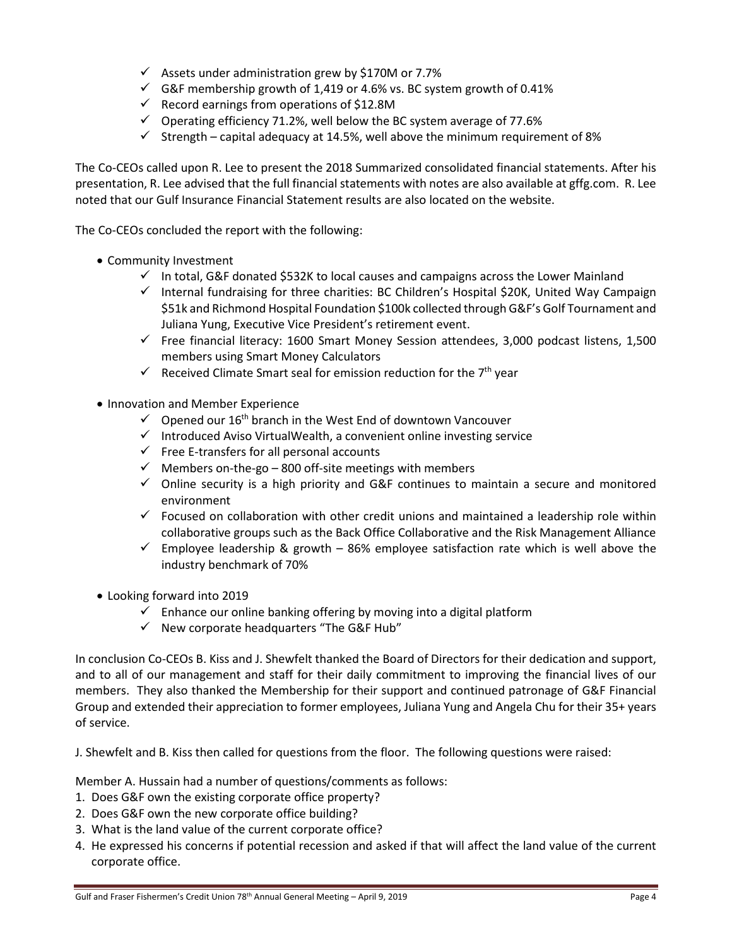- $\checkmark$  Assets under administration grew by \$170M or 7.7%
- $\checkmark$  G&F membership growth of 1,419 or 4.6% vs. BC system growth of 0.41%
- $\checkmark$  Record earnings from operations of \$12.8M
- $\checkmark$  Operating efficiency 71.2%, well below the BC system average of 77.6%
- $\checkmark$  Strength capital adequacy at 14.5%, well above the minimum requirement of 8%

The Co-CEOs called upon R. Lee to present the 2018 Summarized consolidated financial statements. After his presentation, R. Lee advised that the full financial statements with notes are also available at gffg.com. R. Lee noted that our Gulf Insurance Financial Statement results are also located on the website.

The Co-CEOs concluded the report with the following:

- Community Investment
	- $\checkmark$  In total, G&F donated \$532K to local causes and campaigns across the Lower Mainland
	- $\checkmark$  Internal fundraising for three charities: BC Children's Hospital \$20K, United Way Campaign \$51k and Richmond Hospital Foundation \$100k collected through G&F's Golf Tournament and Juliana Yung, Executive Vice President's retirement event.
	- $\checkmark$  Free financial literacy: 1600 Smart Money Session attendees, 3,000 podcast listens, 1,500 members using Smart Money Calculators
	- Received Climate Smart seal for emission reduction for the  $7<sup>th</sup>$  year
- Innovation and Member Experience
	- $\checkmark$  Opened our 16<sup>th</sup> branch in the West End of downtown Vancouver
	- $\checkmark$  Introduced Aviso VirtualWealth, a convenient online investing service
	- $\checkmark$  Free E-transfers for all personal accounts
	- $\checkmark$  Members on-the-go 800 off-site meetings with members
	- $\checkmark$  Online security is a high priority and G&F continues to maintain a secure and monitored environment
	- $\checkmark$  Focused on collaboration with other credit unions and maintained a leadership role within collaborative groups such as the Back Office Collaborative and the Risk Management Alliance
	- $\checkmark$  Employee leadership & growth 86% employee satisfaction rate which is well above the industry benchmark of 70%
- Looking forward into 2019
	- $\checkmark$  Enhance our online banking offering by moving into a digital platform
	- $\checkmark$  New corporate headquarters "The G&F Hub"

In conclusion Co-CEOs B. Kiss and J. Shewfelt thanked the Board of Directors for their dedication and support, and to all of our management and staff for their daily commitment to improving the financial lives of our members. They also thanked the Membership for their support and continued patronage of G&F Financial Group and extended their appreciation to former employees, Juliana Yung and Angela Chu for their 35+ years of service.

J. Shewfelt and B. Kiss then called for questions from the floor. The following questions were raised:

Member A. Hussain had a number of questions/comments as follows:

- 1. Does G&F own the existing corporate office property?
- 2. Does G&F own the new corporate office building?
- 3. What is the land value of the current corporate office?
- 4. He expressed his concerns if potential recession and asked if that will affect the land value of the current corporate office.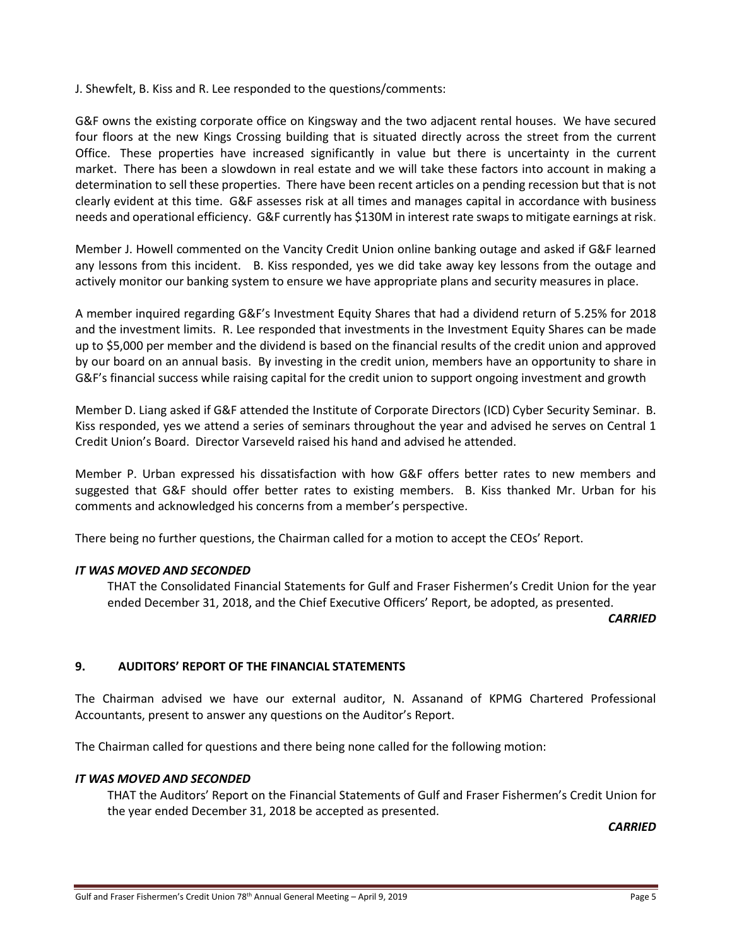J. Shewfelt, B. Kiss and R. Lee responded to the questions/comments:

G&F owns the existing corporate office on Kingsway and the two adjacent rental houses. We have secured four floors at the new Kings Crossing building that is situated directly across the street from the current Office. These properties have increased significantly in value but there is uncertainty in the current market. There has been a slowdown in real estate and we will take these factors into account in making a determination to sell these properties. There have been recent articles on a pending recession but that is not clearly evident at this time. G&F assesses risk at all times and manages capital in accordance with business needs and operational efficiency. G&F currently has \$130M in interest rate swaps to mitigate earnings at risk.

Member J. Howell commented on the Vancity Credit Union online banking outage and asked if G&F learned any lessons from this incident. B. Kiss responded, yes we did take away key lessons from the outage and actively monitor our banking system to ensure we have appropriate plans and security measures in place.

A member inquired regarding G&F's Investment Equity Shares that had a dividend return of 5.25% for 2018 and the investment limits. R. Lee responded that investments in the Investment Equity Shares can be made up to \$5,000 per member and the dividend is based on the financial results of the credit union and approved by our board on an annual basis. By investing in the credit union, members have an opportunity to share in G&F's financial success while raising capital for the credit union to support ongoing investment and growth

Member D. Liang asked if G&F attended the Institute of Corporate Directors (ICD) Cyber Security Seminar. B. Kiss responded, yes we attend a series of seminars throughout the year and advised he serves on Central 1 Credit Union's Board. Director Varseveld raised his hand and advised he attended.

Member P. Urban expressed his dissatisfaction with how G&F offers better rates to new members and suggested that G&F should offer better rates to existing members. B. Kiss thanked Mr. Urban for his comments and acknowledged his concerns from a member's perspective.

There being no further questions, the Chairman called for a motion to accept the CEOs' Report.

### *IT WAS MOVED AND SECONDED*

THAT the Consolidated Financial Statements for Gulf and Fraser Fishermen's Credit Union for the year ended December 31, 2018, and the Chief Executive Officers' Report, be adopted, as presented.

*CARRIED*

### **9. AUDITORS' REPORT OF THE FINANCIAL STATEMENTS**

The Chairman advised we have our external auditor, N. Assanand of KPMG Chartered Professional Accountants, present to answer any questions on the Auditor's Report.

The Chairman called for questions and there being none called for the following motion:

#### *IT WAS MOVED AND SECONDED*

THAT the Auditors' Report on the Financial Statements of Gulf and Fraser Fishermen's Credit Union for the year ended December 31, 2018 be accepted as presented.

*CARRIED*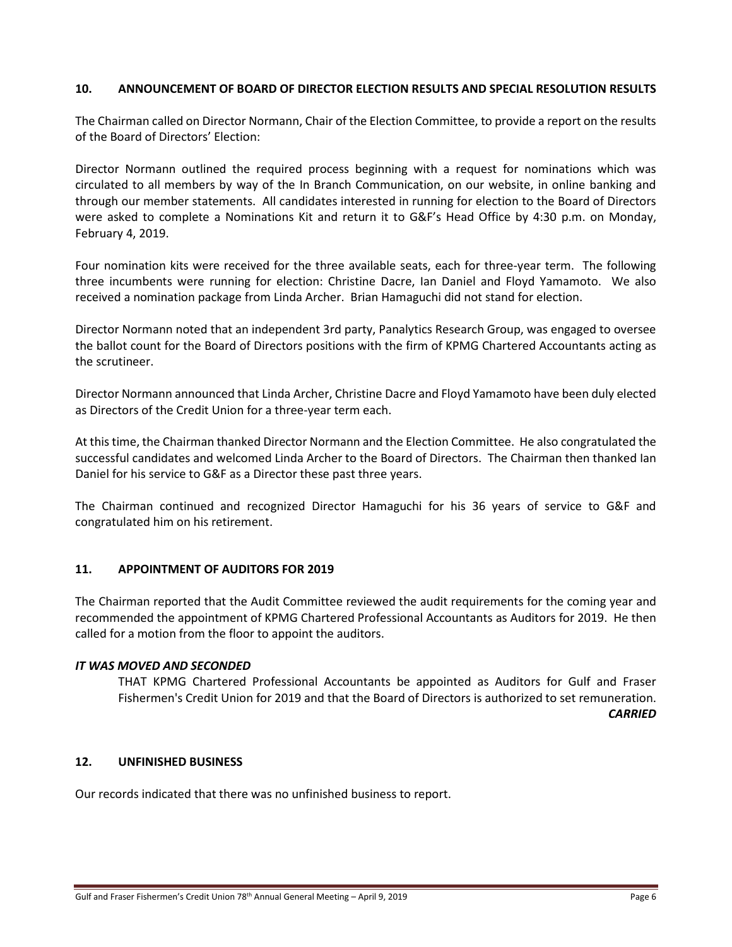### **10. ANNOUNCEMENT OF BOARD OF DIRECTOR ELECTION RESULTS AND SPECIAL RESOLUTION RESULTS**

The Chairman called on Director Normann, Chair of the Election Committee, to provide a report on the results of the Board of Directors' Election:

Director Normann outlined the required process beginning with a request for nominations which was circulated to all members by way of the In Branch Communication, on our website, in online banking and through our member statements. All candidates interested in running for election to the Board of Directors were asked to complete a Nominations Kit and return it to G&F's Head Office by 4:30 p.m. on Monday, February 4, 2019.

Four nomination kits were received for the three available seats, each for three-year term. The following three incumbents were running for election: Christine Dacre, Ian Daniel and Floyd Yamamoto. We also received a nomination package from Linda Archer. Brian Hamaguchi did not stand for election.

Director Normann noted that an independent 3rd party, Panalytics Research Group, was engaged to oversee the ballot count for the Board of Directors positions with the firm of KPMG Chartered Accountants acting as the scrutineer.

Director Normann announced that Linda Archer, Christine Dacre and Floyd Yamamoto have been duly elected as Directors of the Credit Union for a three-year term each.

At this time, the Chairman thanked Director Normann and the Election Committee. He also congratulated the successful candidates and welcomed Linda Archer to the Board of Directors. The Chairman then thanked Ian Daniel for his service to G&F as a Director these past three years.

The Chairman continued and recognized Director Hamaguchi for his 36 years of service to G&F and congratulated him on his retirement.

### **11. APPOINTMENT OF AUDITORS FOR 2019**

The Chairman reported that the Audit Committee reviewed the audit requirements for the coming year and recommended the appointment of KPMG Chartered Professional Accountants as Auditors for 2019. He then called for a motion from the floor to appoint the auditors.

#### *IT WAS MOVED AND SECONDED*

THAT KPMG Chartered Professional Accountants be appointed as Auditors for Gulf and Fraser Fishermen's Credit Union for 2019 and that the Board of Directors is authorized to set remuneration. *CARRIED*

### **12. UNFINISHED BUSINESS**

Our records indicated that there was no unfinished business to report.